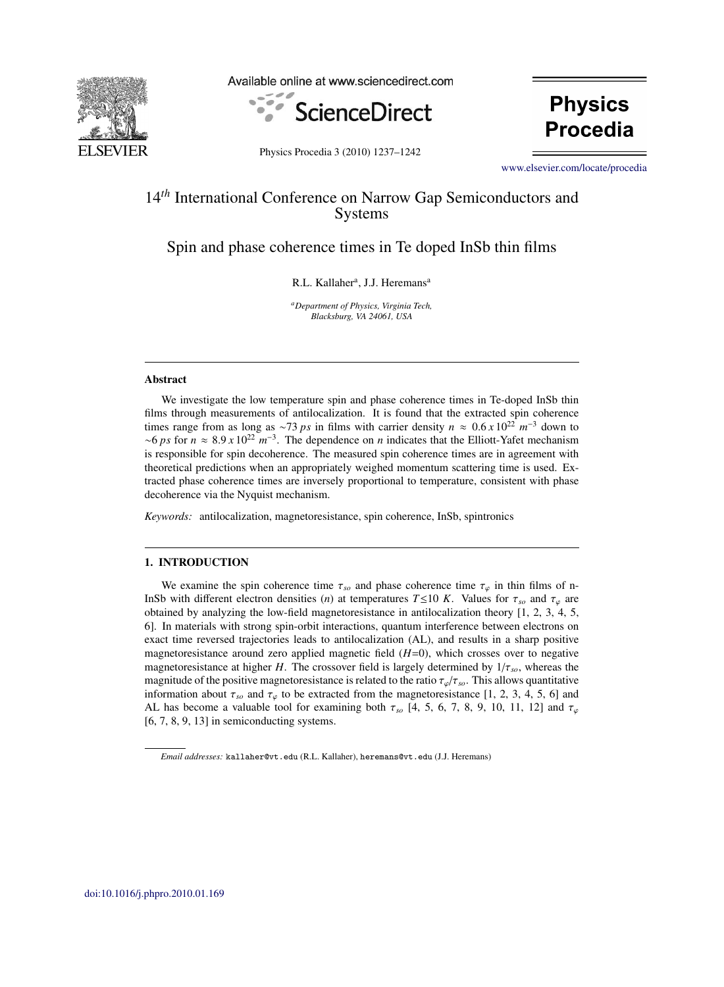

Available online at www.sciencedirect.com



**Physics** Procedia

Physics Procedia 3 (2010) 1237-1242

[www.elsevier.com/locate/procedia](http://www.elsevier.com/locate/procedia)

# 14*th* International Conference on Narrow Gap Semiconductors and Systems

Spin and phase coherence times in Te doped InSb thin films

R.L. Kallaher<sup>a</sup>, J.J. Heremans<sup>a</sup>

*aDepartment of Physics, Virginia Tech, Blacksburg, VA 24061, USA*

# **Abstract**

We investigate the low temperature spin and phase coherence times in Te-doped InSb thin films through measurements of antilocalization. It is found that the extracted spin coherence times range from as long as <sup>∼</sup><sup>73</sup> *ps* in films with carrier density *<sup>n</sup>* <sup>≈</sup> <sup>0</sup>.<sup>6</sup> *<sup>x</sup>* <sup>10</sup><sup>22</sup> *<sup>m</sup>*−<sup>3</sup> down to <sup>∼</sup><sup>6</sup> *ps* for *<sup>n</sup>* <sup>≈</sup> <sup>8</sup>.<sup>9</sup> *<sup>x</sup>* <sup>10</sup><sup>22</sup> *<sup>m</sup>*−3. The dependence on *<sup>n</sup>* indicates that the Elliott-Yafet mechanism is responsible for spin decoherence. The measured spin coherence times are in agreement with theoretical predictions when an appropriately weighed momentum scattering time is used. Extracted phase coherence times are inversely proportional to temperature, consistent with phase decoherence via the Nyquist mechanism.

*Keywords:* antilocalization, magnetoresistance, spin coherence, InSb, spintronics

## 1. INTRODUCTION

We examine the spin coherence time  $\tau_{so}$  and phase coherence time  $\tau_{\varphi}$  in thin films of n-InSb with different electron densities (*n*) at temperatures  $T \le 10$  *K*. Values for  $\tau_{so}$  and  $\tau_{\varphi}$  are obtained by analyzing the low-field magnetoresistance in antilocalization theory [1, 2, 3, 4, 5, 6]. In materials with strong spin-orbit interactions, quantum interference between electrons on exact time reversed trajectories leads to antilocalization (AL), and results in a sharp positive magnetoresistance around zero applied magnetic field  $(H=0)$ , which crosses over to negative magnetoresistance at higher *H*. The crossover field is largely determined by 1/τ*so*, whereas the magnitude of the positive magnetoresistance is related to the ratio  $\tau_{\varphi}/\tau_{so}$ . This allows quantitative information about  $\tau_{so}$  and  $\tau_{\varphi}$  to be extracted from the magnetoresistance [1, 2, 3, 4, 5, 6] and AL has become a valuable tool for examining both  $\tau_{so}$  [4, 5, 6, 7, 8, 9, 10, 11, 12] and  $\tau_{\varphi}$ [6, 7, 8, 9, 13] in semiconducting systems.

*Email addresses:* kallaher@vt.edu (R.L. Kallaher), heremans@vt.edu (J.J. Heremans)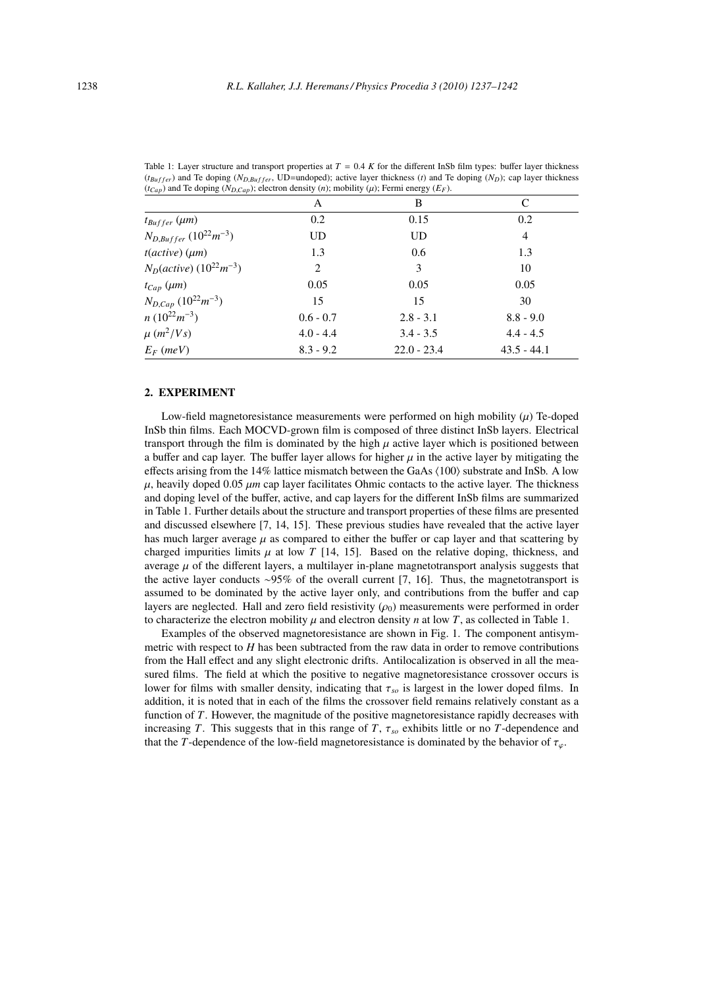| $(ICap)$ and ie doping $(ND,Cap)$ ; electron density $(n)$ ; mobility $(\mu)$ ; refinitenergy $(EF)$ . |             |               |               |
|--------------------------------------------------------------------------------------------------------|-------------|---------------|---------------|
|                                                                                                        | A           | B             | C             |
| $t_{Buffer}$ ( $\mu$ m)                                                                                | 0.2         | 0.15          | 0.2           |
| $N_{D,Buffer} (10^{22} m^{-3})$                                                                        | UD          | <b>UD</b>     | 4             |
| $t(active)$ ( $\mu$ m)                                                                                 | 1.3         | 0.6           | 1.3           |
| $N_D (active) (10^{22} m^{-3})$                                                                        | 2           | 3             | 10            |
| $t_{Cap}$ ( $\mu$ m)                                                                                   | 0.05        | 0.05          | 0.05          |
| $N_{D,Cap}$ (10 <sup>22</sup> m <sup>-3</sup> )                                                        | 15          | 15            | 30            |
| $n(10^{22}m^{-3})$                                                                                     | $0.6 - 0.7$ | $2.8 - 3.1$   | $8.8 - 9.0$   |
| $\mu$ (m <sup>2</sup> /Vs)                                                                             | $4.0 - 4.4$ | $3.4 - 3.5$   | $4.4 - 4.5$   |
| $E_F$ (meV)                                                                                            | $8.3 - 9.2$ | $22.0 - 23.4$ | $43.5 - 44.1$ |

Table 1: Layer structure and transport properties at  $T = 0.4 K$  for the different InSb film types: buffer layer thickness  $(t_{\text{Buffer}})$  and Te doping  $(N_{D,Buffer}, \text{UD}=$ undoped); active layer thickness (*t*) and Te doping  $(N_D)$ ; cap layer thickness  $(t_{Cap})$  and Te doping  $(N_{D,Cap})$ ; electron density  $(n)$ ; mobility  $(\mu)$ ; Fermi energy  $(E_F)$ .

# 2. EXPERIMENT

Low-field magnetoresistance measurements were performed on high mobility  $(\mu)$  Te-doped InSb thin films. Each MOCVD-grown film is composed of three distinct InSb layers. Electrical transport through the film is dominated by the high  $\mu$  active layer which is positioned between a buffer and cap layer. The buffer layer allows for higher  $\mu$  in the active layer by mitigating the effects arising from the 14% lattice mismatch between the GaAs  $(100)$  substrate and InSb. A low  $\mu$ , heavily doped 0.05  $\mu$ m cap layer facilitates Ohmic contacts to the active layer. The thickness and doping level of the buffer, active, and cap layers for the different InSb films are summarized in Table 1. Further details about the structure and transport properties of these films are presented and discussed elsewhere [7, 14, 15]. These previous studies have revealed that the active layer has much larger average  $\mu$  as compared to either the buffer or cap layer and that scattering by charged impurities limits  $\mu$  at low *T* [14, 15]. Based on the relative doping, thickness, and average  $\mu$  of the different layers, a multilayer in-plane magnetotransport analysis suggests that the active layer conducts ∼95% of the overall current [7, 16]. Thus, the magnetotransport is assumed to be dominated by the active layer only, and contributions from the buffer and cap layers are neglected. Hall and zero field resistivity  $(\rho_0)$  measurements were performed in order to characterize the electron mobility  $\mu$  and electron density *n* at low *T*, as collected in Table 1.

Examples of the observed magnetoresistance are shown in Fig. 1. The component antisymmetric with respect to *H* has been subtracted from the raw data in order to remove contributions from the Hall effect and any slight electronic drifts. Antilocalization is observed in all the measured films. The field at which the positive to negative magnetoresistance crossover occurs is lower for films with smaller density, indicating that τ*so* is largest in the lower doped films. In addition, it is noted that in each of the films the crossover field remains relatively constant as a function of *T*. However, the magnitude of the positive magnetoresistance rapidly decreases with increasing *T*. This suggests that in this range of *T*, τ*so* exhibits little or no *T*-dependence and that the *T*-dependence of the low-field magnetoresistance is dominated by the behavior of  $\tau_{\varphi}$ .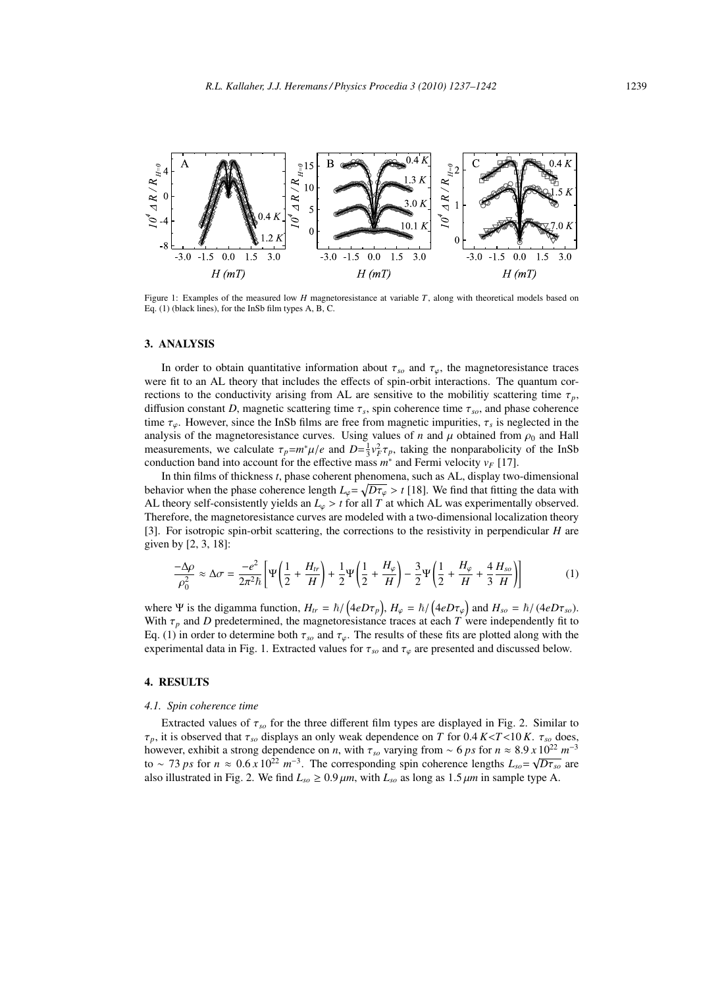

Figure 1: Examples of the measured low *H* magnetoresistance at variable *T*, along with theoretical models based on Eq. (1) (black lines), for the InSb film types A, B, C.

#### 3. ANALYSIS

In order to obtain quantitative information about  $\tau_{so}$  and  $\tau_{\varphi}$ , the magnetoresistance traces were fit to an AL theory that includes the effects of spin-orbit interactions. The quantum corrections to the conductivity arising from AL are sensitive to the mobilitiy scattering time  $\tau_p$ , diffusion constant *D*, magnetic scattering time  $\tau_s$ , spin coherence time  $\tau_{so}$ , and phase coherence time  $\tau_{\varphi}$ . However, since the InSb films are free from magnetic impurities,  $\tau_{s}$  is neglected in the analysis of the magnetoresistance curves. Using values of *n* and  $\mu$  obtained from  $\rho_0$  and Hall measurements, we calculate  $\tau_p = m^* \mu / e$  and  $D = \frac{1}{3} v_F^2 \tau_p$ , taking the nonparabolicity of the InSb conduction band into account for the effective mass  $m^*$  and Fermi velocity  $v_F$  [17].

In thin films of thickness *t*, phase coherent phenomena, such as AL, display two-dimensional behavior when the phase coherence length  $L_\varphi = \sqrt{D\tau_\varphi} > t$  [18]. We find that fitting the data with AL theory self-consistently yields an  $L_\varphi > t$  for all *T* at which AL was experimentally observed. Therefore, the magnetoresistance curves are modeled with a two-dimensional localization theory [3]. For isotropic spin-orbit scattering, the corrections to the resistivity in perpendicular *H* are given by [2, 3, 18]:

$$
\frac{-\Delta \rho}{\rho_0^2} \approx \Delta \sigma = \frac{-e^2}{2\pi^2 \hbar} \left[ \Psi \left( \frac{1}{2} + \frac{H_{tr}}{H} \right) + \frac{1}{2} \Psi \left( \frac{1}{2} + \frac{H_{\varphi}}{H} \right) - \frac{3}{2} \Psi \left( \frac{1}{2} + \frac{H_{\varphi}}{H} + \frac{4}{3} \frac{H_{so}}{H} \right) \right]
$$
(1)

where  $\Psi$  is the digamma function,  $H_{tr} = \hbar / (4eD\tau_p)$ ,  $H_{\varphi} = \hbar / (4eD\tau_{\varphi})$  and  $H_{so} = \hbar / (4eD\tau_{so})$ . With  $\tau_p$  and *D* predetermined, the magnetoresistance traces at each *T* were independently fit to Eq. (1) in order to determine both  $\tau_{so}$  and  $\tau_{\varphi}$ . The results of these fits are plotted along with the experimental data in Fig. 1. Extracted values for  $\tau_{so}$  and  $\tau_{\varphi}$  are presented and discussed below.

## 4. RESULTS

#### *4.1. Spin coherence time*

Extracted values of  $\tau_{so}$  for the three different film types are displayed in Fig. 2. Similar to τ*p*, it is observed that τ*so* displays an only weak dependence on *T* for 0.4 *K*<*T*<10 *K*. τ*so* does, however, exhibit a strong dependence on *n*, with  $\tau_{so}$  varying from  $\sim 6 \text{ ps}$  for  $n \approx 8.9 \times 10^{22} \text{ m}^{-3}$ <br>to  $\sim 73 \text{ ps}$  for  $n \approx 0.6 \times 10^{22} \text{ m}^{-3}$ . The corresponding spin coherence lengths  $L_{so} = \sqrt{D \tau_{so}}$  a also illustrated in Fig. 2. We find  $L_{so} \ge 0.9 \mu m$ , with  $L_{so}$  as long as  $1.5 \mu m$  in sample type A.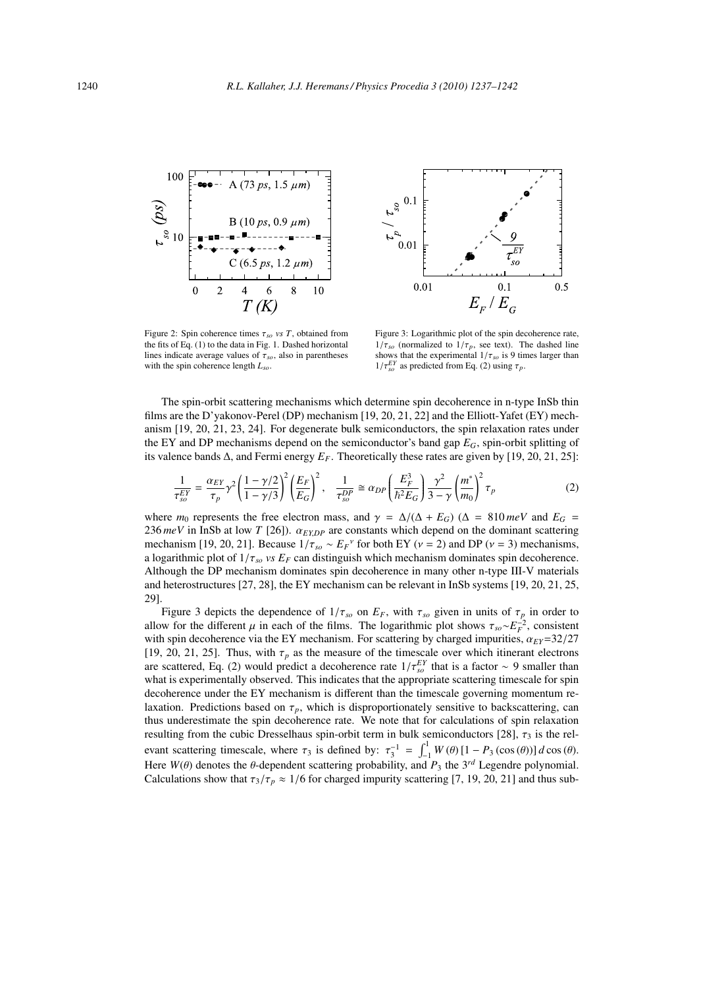

Figure 2: Spin coherence times  $\tau_{so}$  *vs T*, obtained from the fits of Eq. (1) to the data in Fig. 1. Dashed horizontal lines indicate average values of  $\tau_{so}$ , also in parentheses with the spin coherence length *Lso*.



Figure 3: Logarithmic plot of the spin decoherence rate,  $1/\tau_{so}$  (normalized to  $1/\tau_p$ , see text). The dashed line shows that the experimental  $1/\tau_{so}$  is 9 times larger than  $1/\tau_{so}^{EY}$  as predicted from Eq. (2) using  $\tau_p$ .

The spin-orbit scattering mechanisms which determine spin decoherence in n-type InSb thin films are the D'yakonov-Perel (DP) mechanism [19, 20, 21, 22] and the Elliott-Yafet (EY) mechanism [19, 20, 21, 23, 24]. For degenerate bulk semiconductors, the spin relaxation rates under the EY and DP mechanisms depend on the semiconductor's band gap *EG*, spin-orbit splitting of its valence bands  $\Delta$ , and Fermi energy  $E_F$ . Theoretically these rates are given by [19, 20, 21, 25]:

$$
\frac{1}{\tau_{so}^{EY}} = \frac{\alpha_{EY}}{\tau_p} \gamma^2 \left(\frac{1-\gamma/2}{1-\gamma/3}\right)^2 \left(\frac{E_F}{E_G}\right)^2, \quad \frac{1}{\tau_{so}^{DP}} \cong \alpha_{DP} \left(\frac{E_F^3}{\hbar^2 E_G}\right) \frac{\gamma^2}{3-\gamma} \left(\frac{m^*}{m_0}\right)^2 \tau_p \tag{2}
$$

where  $m_0$  represents the free electron mass, and  $\gamma = \Delta/(\Delta + E_G)$  ( $\Delta = 810 \text{ meV}$  and  $E_G =$ 236  $meV$  in InSb at low *T* [26]).  $\alpha_{EXP}$  are constants which depend on the dominant scattering mechanism [19, 20, 21]. Because  $1/\tau_{so} \sim E_F^{\nu}$  for both EY ( $\nu = 2$ ) and DP ( $\nu = 3$ ) mechanisms, a logarithmic plot of  $1/\tau_{so}$  *vs E<sub>F</sub>* can distinguish which mechanism dominates spin decoherence. Although the DP mechanism dominates spin decoherence in many other n-type III-V materials and heterostructures [27, 28], the EY mechanism can be relevant in InSb systems [19, 20, 21, 25, 29].

Figure 3 depicts the dependence of  $1/\tau_{so}$  on  $E_F$ , with  $\tau_{so}$  given in units of  $\tau_p$  in order to allow for the different  $\mu$  in each of the films. The logarithmic plot shows  $\tau_{so} \sim E_F^{-2}$ , consistent with spin decoherence via the EY mechanism. For scattering by charged impurities,  $\alpha_{EY}=32/27$ [19, 20, 21, 25]. Thus, with  $\tau_p$  as the measure of the timescale over which itinerant electrons are scattered, Eq. (2) would predict a decoherence rate  $1/\tau_{so}^{EY}$  that is a factor ∼ 9 smaller than what is experimentally observed. This indicates that the appropriate scattering timescale for spin decoherence under the EY mechanism is different than the timescale governing momentum relaxation. Predictions based on  $\tau_p$ , which is disproportionately sensitive to backscattering, can thus underestimate the spin decoherence rate. We note that for calculations of spin relaxation resulting from the cubic Dresselhaus spin-orbit term in bulk semiconductors [28],  $\tau_3$  is the relevant scattering timescale, where  $\tau_3$  is defined by:  $\tau_3^{-1} = \int_{-1}^{1} W(\theta) [1 - P_3(\cos(\theta))] d \cos(\theta)$ . Here  $W(\theta)$  denotes the  $\theta$ -dependent scattering probability, and  $P_3$  the 3<sup>rd</sup> Legendre polynomial. Calculations show that  $\tau_3/\tau_p \approx 1/6$  for charged impurity scattering [7, 19, 20, 21] and thus sub-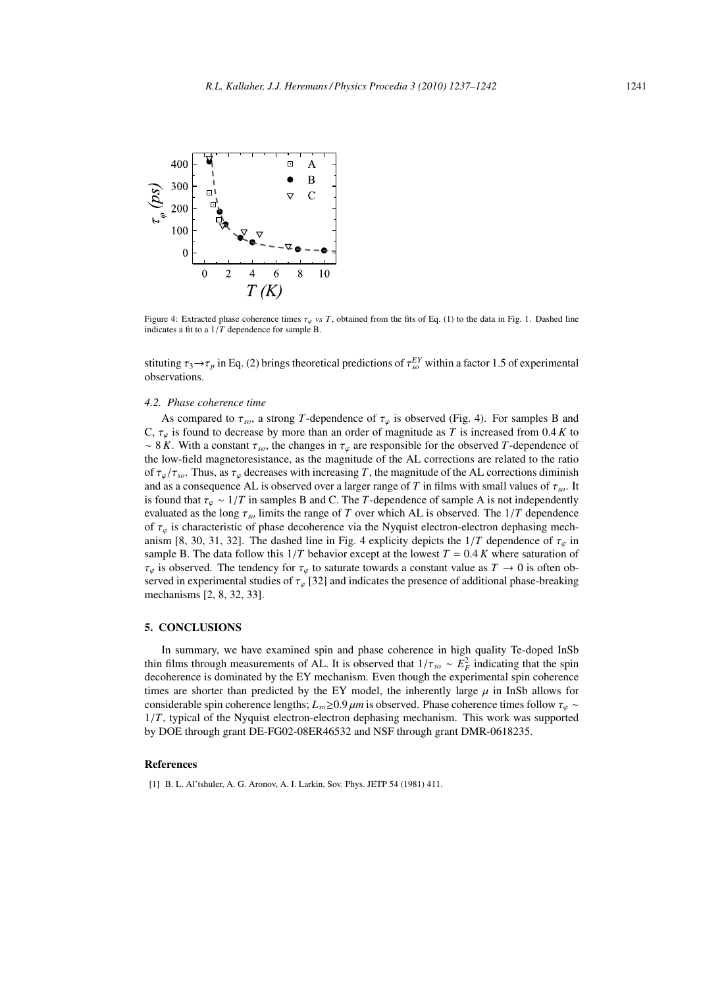

Figure 4: Extracted phase coherence times  $\tau_{\varphi}$  *vs T*, obtained from the fits of Eq. (1) to the data in Fig. 1. Dashed line indicates a fit to a 1/*T* dependence for sample B.

stituting  $\tau_3 \to \tau_p$  in Eq. (2) brings theoretical predictions of  $\tau_{so}^{EY}$  within a factor 1.5 of experimental observations.

## *4.2. Phase coherence time*

As compared to  $\tau_{so}$ , a strong *T*-dependence of  $\tau_{\varphi}$  is observed (Fig. 4). For samples B and C,  $\tau_{\varphi}$  is found to decrease by more than an order of magnitude as *T* is increased from 0.4 *K* to ~ 8 *K*. With a constant  $\tau_{so}$ , the changes in  $\tau_{\varphi}$  are responsible for the observed *T*-dependence of the low-field magnetoresistance, as the magnitude of the AL corrections are related to the ratio of  $\tau_{\omega}/\tau_{so}$ . Thus, as  $\tau_{\omega}$  decreases with increasing *T*, the magnitude of the AL corrections diminish and as a consequence AL is observed over a larger range of *T* in films with small values of  $\tau_{so}$ . It is found that  $\tau_{\varphi} \sim 1/T$  in samples B and C. The *T*-dependence of sample A is not independently evaluated as the long  $\tau_{so}$  limits the range of *T* over which AL is observed. The  $1/T$  dependence of  $\tau_{\varphi}$  is characteristic of phase decoherence via the Nyquist electron-electron dephasing mechanism [8, 30, 31, 32]. The dashed line in Fig. 4 explicity depicts the  $1/T$  dependence of  $\tau_{\varphi}$  in sample B. The data follow this  $1/T$  behavior except at the lowest  $T = 0.4 K$  where saturation of  $\tau_{\varphi}$  is observed. The tendency for  $\tau_{\varphi}$  to saturate towards a constant value as  $T \to 0$  is often observed in experimental studies of  $\tau_{\varphi}$  [32] and indicates the presence of additional phase-breaking mechanisms [2, 8, 32, 33].

## 5. CONCLUSIONS

In summary, we have examined spin and phase coherence in high quality Te-doped InSb thin films through measurements of AL. It is observed that  $1/\tau_{so} \sim E_F^2$  indicating that the spin decoherence is dominated by the EY mechanism. Even though the experimental spin coherence times are shorter than predicted by the EY model, the inherently large  $\mu$  in InSb allows for considerable spin coherence lengths;  $L_{so} \ge 0.9 \mu m$  is observed. Phase coherence times follow  $\tau_{\varphi} \sim$ 1/*T*, typical of the Nyquist electron-electron dephasing mechanism. This work was supported by DOE through grant DE-FG02-08ER46532 and NSF through grant DMR-0618235.

#### References

[1] B. L. Al'tshuler, A. G. Aronov, A. I. Larkin, Sov. Phys. JETP 54 (1981) 411.